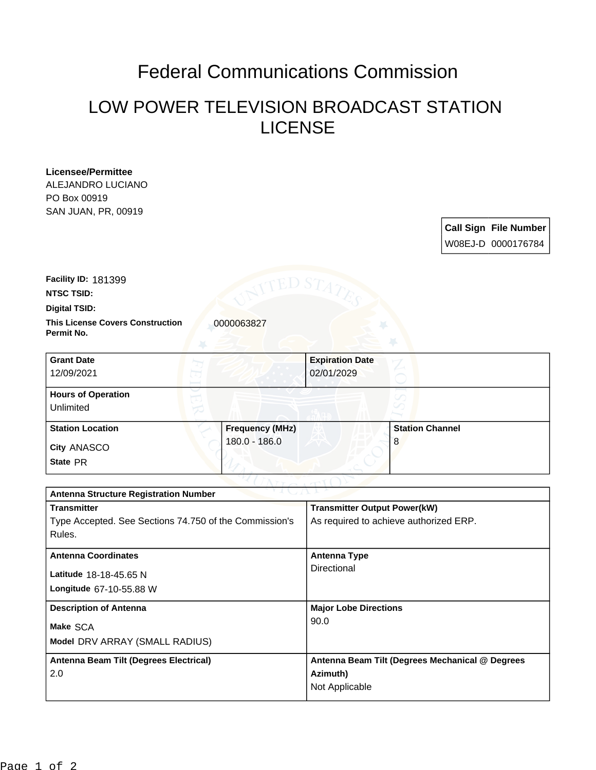## Federal Communications Commission

## LOW POWER TELEVISION BROADCAST STATION LICENSE

**Licensee/Permittee** ALEJANDRO LUCIANO PO Box 00919 SAN JUAN, PR, 00919

> **Call Sign File Number** W08EJ-D 0000176784

**Facility ID:** 181399

**NTSC TSID:**

**Digital TSID:**

**This License Covers Construction 0000063827 Permit No.**

**State** PR **City** ANASCO **Grant Date** 12/09/2021 **Expiration Date** 02/01/2029 **Hours of Operation** Unlimited **Station Location Frequency (MHz)** 180.0 - 186.0 **Station Channel** 8

| <b>Antenna Structure Registration Number</b>           |                                                 |
|--------------------------------------------------------|-------------------------------------------------|
| <b>Transmitter</b>                                     | <b>Transmitter Output Power(kW)</b>             |
| Type Accepted. See Sections 74.750 of the Commission's | As required to achieve authorized ERP.          |
| Rules.                                                 |                                                 |
| <b>Antenna Coordinates</b>                             | Antenna Type                                    |
|                                                        | Directional                                     |
| Latitude 18-18-45.65 N                                 |                                                 |
| Longitude 67-10-55.88 W                                |                                                 |
| <b>Description of Antenna</b>                          | <b>Major Lobe Directions</b>                    |
| Make SCA                                               | 90.0                                            |
|                                                        |                                                 |
| Model DRV ARRAY (SMALL RADIUS)                         |                                                 |
| Antenna Beam Tilt (Degrees Electrical)                 | Antenna Beam Tilt (Degrees Mechanical @ Degrees |
| 2.0                                                    | Azimuth)                                        |
|                                                        | Not Applicable                                  |
|                                                        |                                                 |